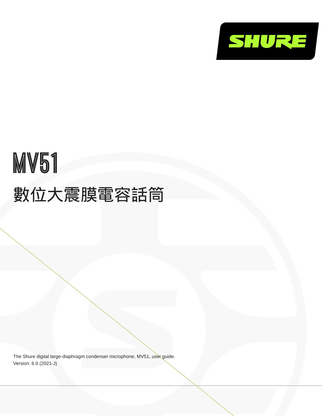

# MV51 數位大震膜電容話筒

The Shure digital large-diaphragm condenser microphone, MV51, user guide. Version: 6.0 (2021-J)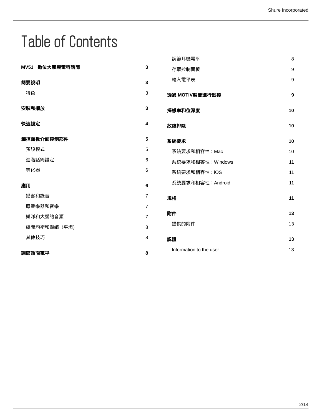# Table of Contents

|                |                | 調節耳機電平                  | 8          |
|----------------|----------------|-------------------------|------------|
| MV51 數位大震膜電容話筒 | $\mathbf 3$    | 存取控制面板                  | 9          |
| 簡要說明           | 3              | 輸入電平表                   | 9          |
| 特色             | 3              | 透過 MOTIV裝置進行監控          | 9          |
| 安裝和擺放          | $\mathbf 3$    | 採樣率和位深度                 | 10         |
| 快速設定           | 4              | 故障排除                    | 10         |
| 觸控面板介面控制部件     | 5              | 系統要求                    | 10         |
| 預設模式           | 5              | 系統要求和相容性: Mac           | 10         |
| 進階話筒設定         | 6              | 系統要求和相容性: Windows       | 11         |
| 等化器            | $\,6\,$        | 系統要求和相容性: iOS           | 11         |
| 應用             | $\bf 6$        | 系統要求和相容性: Android       | 11         |
| 播客和錄音          | $\overline{7}$ | 規格                      | ${\bf 11}$ |
| 原聲樂器和音樂        | $\overline{7}$ |                         |            |
| 樂隊和大聲的音源       | $\overline{7}$ | 附件                      | 13         |
| 繞開均衡和壓縮 (平坦)   | 8              | 提供的附件                   | 13         |
| 其他技巧           | 8              | 認證                      | 13         |
| 調節話筒電平         | 8              | Information to the user | 13         |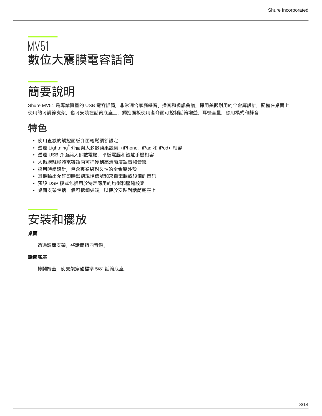# <span id="page-2-0"></span>MV51 數位大震膜電容話筒

<span id="page-2-1"></span>簡要說明

Shure MV51 是專業質量的 USB 電容話筒,非常適合家庭錄音、播客和視訊會議。採用美觀耐用的全金屬設計,配備在桌面上 使用的可調節支架,也可安裝在話筒底座上。觸控面板使用者介面可控制話筒增益、耳機音量、應用模式和靜音。

## <span id="page-2-2"></span>特色

- 使用直觀的觸控面板介面輕鬆調節設定
- 透過 Lightning $^\circ$  介面與大多數蘋果設備(iPhone、iPad 和 iPod)相容
- 透過 USB 介面與大多數電腦、平板電腦和智慧手機相容
- 大振膜駐極體電容話筒可捕獲到高清晰度語音和音樂
- 採用時尚設計,包含專業級耐久性的全金屬外殼
- 耳機輸出允許即時監聽現場信號和來自電腦或設備的音訊
- 預設 DSP 模式包括用於特定應用的均衡和壓縮設定
- 桌面支架包括一個可拆卸尖端,以便於安裝到話筒底座上 .

<span id="page-2-3"></span>

#### 桌面

透過調節支架,將話筒指向音源。

#### 話筒底座

擰開端蓋,使支架穿過標準 5/8" 話筒底座。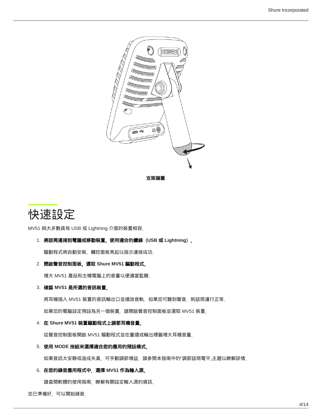

# <span id="page-3-0"></span>快速設定

MV51 與大多數具有 USB 或 Lightning 介面的裝置相容。

1. 將話筒連接到電腦或移動裝置。使用適合的纜線(**USB** 或 **Lightning**)。

驅動程式將自動安裝。觸控面板亮起以指示連接成功。

2. 開啟聲音控制面板。選取 **Shure MV51** 驅動程式。

增大 MV51 產品和主機電腦上的音量以便適當監聽。

3. 確認 **MV51** 是所選的音訊裝置。

將耳機插入 MV51 裝置的音訊輸出口並播放音軌。如果您可聽到聲音,則話筒運行正常。 如果您的電腦設定預設為另一個裝置,請開啟聲音控制面板並選取 MV51 裝置。

4. 在 **Shure MV51** 裝置驅動程式上調節耳機音量。

從聲音控制面板開啟 MV51 驅動程式並在重播或輸出標籤增大耳機音量。

5. 使用 **MODE** 按鈕來選擇適合您的應用的預設模式。

如果音訊太安靜或造成失真,可手動調節增益。請參閱本指南中的「調節話筒電平」主題以瞭解詳情。

6. 在您的錄音應用程式中,選擇 **MV51** 作為輸入源。

請查閱軟體的使用指南,瞭解有關設定輸入源的資訊。

您已準備好,可以開始錄音。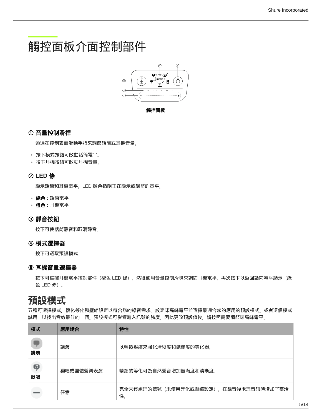# <span id="page-4-0"></span>觸控面板介面控制部件



觸控面板

### ① 音量控制滑桿

透過在控制表面滑動手指來調節話筒或耳機音量。

◦ 按下模式按鈕可啟動話筒電平。

◦ 按下耳機按鈕可啟動耳機音量。

### ② **LED** 條

顯示話筒和耳機電平。LED 顏色指明正在顯示或調節的電平。

◦ 綠色:話筒電平

◦ 橙色:耳機電平

### ③ 靜音按鈕

按下可使話筒靜音和取消靜音。

#### ④ 模式選擇器

按下可選取預設模式。

#### ⑤ 耳機音量選擇器

按下可選擇耳機電平控制部件(橙色 LED 條)。然後使用音量控制滑塊來調節耳機電平。再次按下以返回話筒電平顯示(綠 色 LED 條)。

### <span id="page-4-1"></span>預設模式

五種可選擇模式,優化等化和壓縮設定以符合您的錄音需求。設定咪高峰電平並選擇最適合您的應用的預設模式。或者逐個模式 試用,以找出音效最佳的一個。預設模式可影響輸入訊號的強度,因此更改預設值後,請按照需要調節咪高峰電平。

| 模式      | 應用場合      | 特性                                         |
|---------|-----------|--------------------------------------------|
| 講演      | 講演        | 以輕微壓縮來強化清晰度和飽滿度的等化器。                       |
| Q<br>歌唱 | 獨唱或團體聲樂表演 | 精細的等化可為自然聲音增加豐滿度和清晰度。                      |
|         | 任意        | 完全未經處理的信號(未使用等化或壓縮設定)。在錄音後處理音訊時增加了靈活<br>性。 |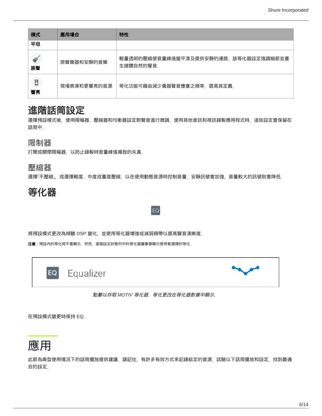| 模式      | 應用場合        | 特性                                                |
|---------|-------------|---------------------------------------------------|
| 平坦      |             |                                                   |
| 原聲      | 原聲樂器和安靜的音樂  | 輕量透明的壓縮使音量峰值變平滑及提供安靜的通路。該等化器設定強調細節並產<br>生總體自然的聲音。 |
| B<br>響亮 | 現場表演和更響亮的音源 | 等化功能可藉由減少儀器聲音壅塞之頻率,提高其定義。                         |

### <span id="page-5-0"></span>進階話筒設定

選擇預設模式後,使用限幅器、壓縮器和均衡器設定對聲音進行微調。使用其他音訊和視訊錄製應用程式時,這些設定會保留在 話筒中。

限制器

打開或關閉限幅器,以防止錄製時音量峰值導致的失真。

### 壓縮器

選擇「不壓縮」,或選擇輕度、中度或重度壓縮,以在使用動態音源時控制音量。安靜訊號會加強,音量較大的訊號則會降低。

EQ

<span id="page-5-1"></span>

### 將預設模式更改為傾聽 DSP 變化,並使用等化器增強或減弱頻帶以提高聲音清晰度。

注意:預設內的等化將不會顯示。然而,進階設定狀態列中的等化器圖像會顯示使用者選擇的等化。



#### 點擊以存取 *MOTIV* 等化器。等化更改在等化器影像中顯示。

在預設模式變更時保持 EQ。

<span id="page-5-2"></span>

此節為典型使用情況下的話筒擺放提供建議。請記住,有許多有效方式來記錄給定的音源。試驗以下話筒擺放和設定,找到最適 合的設定。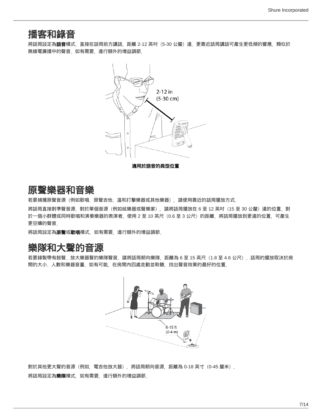### <span id="page-6-0"></span>播客和錄音

將話筒設定為**語音**模式。直接在話筒前方講話,距離 2-12 英吋(5-30 公釐)遠。更靠近話筒講話可產生更低頻的響應,類似於 無線電廣播中的聲音。如有需要,進行額外的增益調節。



### <span id="page-6-1"></span>原聲樂器和音樂

若要捕獲原聲音源(例如歌唱、原聲吉他、溫和打擊樂器或其他樂器),請使用靠近的話筒擺放方式。

將話筒直接對準聲音源。對於單個音源(例如絃樂器或聲樂家),請將話筒擺放在 6 至 12 英吋(15 至 30 公釐)遠的位置。對 於一個小群體或同時歌唱和演奏樂器的表演者,使用 2 至 10 英尺(0.6 至 3 公尺)的距離。將話筒擺放到更遠的位置,可產生 更空曠的聲音。

將話筒設定為**原聲**或**歌唱**模式,如有需要,進行額外的增益調節。

### <span id="page-6-2"></span>樂隊和大聲的音源

若要錄製帶有鼓聲、放大樂器聲的樂隊聲音,請將話筒朝向樂隊,距離為 6 至 15 英尺(1.8 至 4.6 公尺)。話筒的擺放取決於房 間的大小、人數和樂器音量。如有可能,在房間內四處走動並聆聽,找出聲音效果的最好的位置。



對於其他更大聲的音源(例如,電吉他放大器),將話筒朝向音源,距離為 0-18 英寸(0-45 釐米)。 將話筒設定為**樂隊**模式,如有需要,進行額外的增益調節。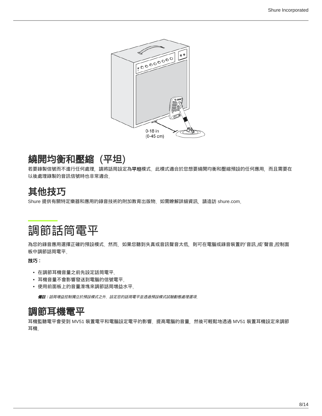

# <span id="page-7-0"></span>繞開均衡和壓縮(平坦)

若要錄製信號而不進行任何處理,請將話筒設定為**平坦**模式。此模式適合於您想要繞開均衡和壓縮預設的任何應用,而且需要在 以後處理錄製的音訊信號時也非常適合。

# <span id="page-7-1"></span>其他技巧

Shure 提供有關特定樂器和應用的錄音技術的附加教育出版物。如需瞭解詳細資訊,請造訪 shure.com。

# <span id="page-7-2"></span>調節話筒電平

為您的錄音應用選擇正確的預設模式。然而,如果您聽到失真或音訊聲音太低,則可在電腦或錄音裝置的「音訊」或「聲音」控制面 板中調節話筒電平。

### 技巧:

- 在調節耳機音量之前先設定話筒電平。
- 耳機音量不會影響發送到電腦的信號電平<sub>。</sub>
- 使用前面板上的音量滑塊來調節話筒增益水平。

備註:話筒增益控制獨立於預設模式之外。設定您的話筒電平並透過預設模式試驗動態處理選項。

### <span id="page-7-3"></span>調節耳機電平

耳機監聽電平會受到 MV51 裝置電平和電腦設定電平的影響。提高電腦的音量,然後可輕鬆地透過 MV51 裝置耳機設定來調節 耳機。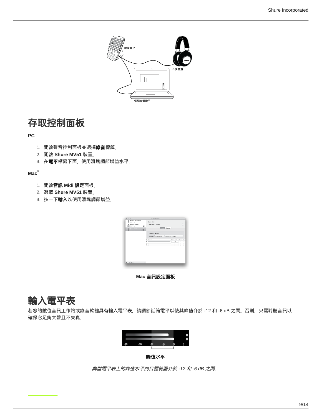

### <span id="page-8-0"></span>存取控制面板

#### **PC**

- 1.開啟聲音控制面板並選擇**錄音**標籤。
- 2. 開啟 **Shure MV51** 裝置。
- 3.在**電平**標籤下面,使用滑塊調節增益水平。

#### **Mac ®**

- 1. 開啟音訊 **Midi** 設定面板。
- 2. 選取 **Shure MV51** 裝置。
- 3.按一下**輸入**以使用滑塊調節增益<sub>。</sub>



**Mac** 音訊設定面板

# <span id="page-8-1"></span>輸入電平表

若您的數位音訊工作站或錄音軟體具有輸入電平表,請調節話筒電平以使其峰值介於 -12 和 -6 dB 之間。否則,只需聆聽音訊以 確保它足夠大聲且不失真。



峰值水平

<span id="page-8-2"></span>典型電平表上的峰值水平的目標範圍介於 *-12* 和 *-6 dB* 之間。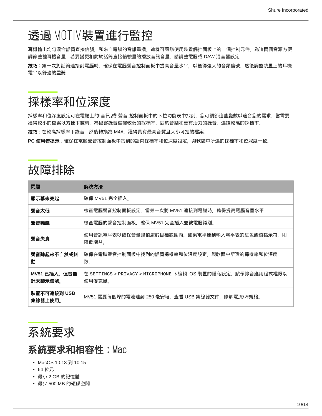# 透過 MOTIV裝置進行監控

耳機輸出均勻混合話筒直接信號,和來自電腦的音訊重播。這樣可讓您使用裝置觸控面板上的一個控制元件,為這兩個音源方便 調節整體耳機音量。若要變更相對於話筒直接信號量的播放音訊音量,請調整電腦或 DAW 混音器設定。

**技巧**:第一次將話筒連接到電腦時,確保在電腦聲音控制面板中提高音量水平,以獲得強大的音頻信號。然後調整裝置上的耳機 電平以舒適的監聽。

# <span id="page-9-0"></span>採樣率和位深度

採樣率和位深度設定可在電腦上的「音訊」或「聲音」控制面板中的下拉功能表中找到。您可調節這些變數以適合您的需求。當需要 獲得較小的檔案以方便下載時,為播客錄音選擇較低的採樣率。對於音樂和更有活力的錄音,選擇較高的採樣率。

技巧:在較高採樣率下錄音,然後轉換為 M4A,獲得具有最高音質且大小可控的檔案。

**PC** 使用者提示:確保在電腦聲音控制面板中找到的話筒採樣率和位深度設定,與軟體中所選的採樣率和位深度一致。

# <span id="page-9-1"></span>故障排除

| 問題                       | 解決方法                                                                    |
|--------------------------|-------------------------------------------------------------------------|
| 顯示幕未亮起                   | 確保 MV51 完全插入。                                                           |
| 聲音太低                     | 檢查電腦聲音控制面板設定。當第一次將 MV51 連接到電腦時,確保提高電腦音量水平。                              |
| 聲音難聽                     | 檢查電腦的聲音控制面板,確保 MV51 完全插入並被電腦識別。                                         |
| 聲音失真                     | 使用音訊電平表以確保音量峰值處於目標範圍內。如果電平達到輸入電平表的紅色峰值指示符,則<br>降低增益。                    |
| 聲音聽起來不自然或抖<br>動          | 確保在電腦聲音控制面板中找到的話筒採樣率和位深度設定,與軟體中所選的採樣率和位深度一<br>致。                        |
| MV51 已插入, 但音量<br>計未顯示信號。 | 在 SETTINGS > PRIVACY > MICROPHONE 下編輯 iOS 裝置的隱私設定,賦予錄音應用程式權限以<br>使用麥克風。 |
| 裝置不可連接到 USB<br>集線器上使用。   | MV51 需要每個埠的電流達到 250 毫安培。查看 USB 集線器文件,瞭解電流/埠規格。                          |

<span id="page-9-2"></span>

### <span id="page-9-3"></span>系統要求和相容性:Mac

- MacOS 10.13 到 10.15
- 64 位元
- 最小 2 GB 的記憶體
- 最少 500 MB 的硬碟空間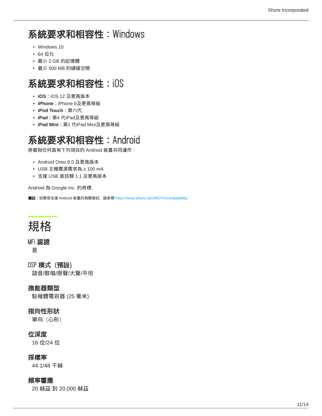# <span id="page-10-0"></span>系統要求和相容性:Windows

- Windows 10
- 64 位元
- 最小 2 GB 的記憶體
- 最少 500 MB 的硬碟空間

### <span id="page-10-1"></span>系統要求和相容性:iOS

- **iOS**:iOS 12 及更高版本
- **iPhone**:iPhone 6及更高等級
- **iPod Touch**:第六代
- **iPad**:第4 代iPad及更高等級
- **iPad Mini**:第1 代iPad Mini及更高等級

# <span id="page-10-2"></span>系統要求和相容性:Android

將會與任何具有下列項目的 Android 裝置共同運作:

- Android Oreo 8.0 及更高版本
- USB 主機電源需求為 ≥ 100 mA
- 支援 USB 音訊類 1.1 及更高版本

Android 為 Google Inc. 的商標。

備註:如需受支援 Android 裝置的相關資訊,請參閱 <https://www.shure.com/MOTIVcompatibility>。

# <span id="page-10-3"></span>規格

#### MFi 認證

是

DSP 模式(預設) 語音/歌唱/原聲/大聲/平坦

### 換能器類型

駐極體電容器 (25 毫米)

### 指向性形狀

單向(心形)

### 位深度

16 位/24 位

### 採樣率

44.1/48 千赫

#### 頻率響應

20 赫茲 到 20,000 赫茲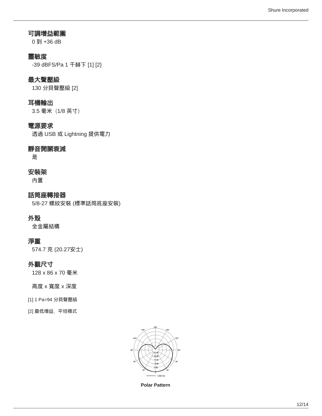### 可調增益範圍

0 到 +36 dB

### 靈敏度

-39 dBFS/Pa 1 千赫下 [1] [2}

### 最大聲壓級

130 分貝聲壓級 [2]

### 耳機輸出

3.5 毫米(1/8 英寸)

### 電源要求

透過 USB 或 Lightning 提供電力

### 靜音開關衰減

是

### 安裝架

內置

話筒座轉接器 5/8-27 螺紋安裝 (標準話筒底座安裝)

### 外殼

全金屬結構

### 淨重

574.7 克 (20.27安士)

### 外觀尺寸

128 x 86 x 70 毫米

#### 高度 x 寬度 x 深度

- [1] 1 Pa=94 分貝聲壓級
- [2] 最低增益、平坦模式



**Polar Pattern**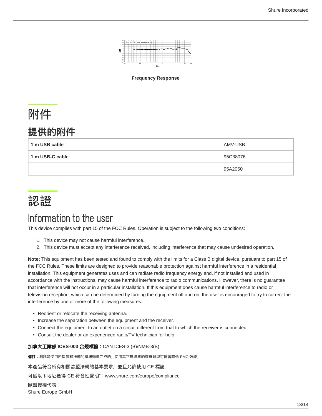

**Frequency Response**

# <span id="page-12-0"></span>附件

## <span id="page-12-1"></span>提供的附件

| 1 m USB cable   | AMV-USB  |
|-----------------|----------|
| 1 m USB-C cable | 95C38076 |
|                 | 95A2050  |

# <span id="page-12-2"></span>認證

# <span id="page-12-3"></span>Information to the user

This device complies with part 15 of the FCC Rules. Operation is subject to the following two conditions:

- 1. This device may not cause harmful interference.
- 2. This device must accept any interference received, including interference that may cause undesired operation.

**Note:** This equipment has been tested and found to comply with the limits for a Class B digital device, pursuant to part 15 of the FCC Rules. These limits are designed to provide reasonable protection against harmful interference in a residential installation. This equipment generates uses and can radiate radio frequency energy and, if not installed and used in accordance with the instructions, may cause harmful interference to radio communications. However, there is no guarantee that interference will not occur in a particular installation. If this equipment does cause harmful interference to radio or television reception, which can be determined by turning the equipment off and on, the user is encouraged to try to correct the interference by one or more of the following measures:

- Reorient or relocate the receiving antenna.
- Increase the separation between the equipment and the receiver.
- Connect the equipment to an outlet on a circuit different from that to which the receiver is connected.
- Consult the dealer or an experienced radio/TV technician for help.

加拿大工業部 **ICES-003** 合規標籤:CAN ICES-3 (B)/NMB-3(B)

備註:測試是使用所提供和推薦的纜線類型完成的。使用其它無遮罩的纜線類型可能會降低 EMC 效能。

本產品符合所有相關歐盟法規的基本要求,並且允許使用 CE 標誌。

可從以下地址獲得"CE 符合性聲明": www.shure.com/europe/compliance

歐盟授權代表:

Shure Europe GmbH